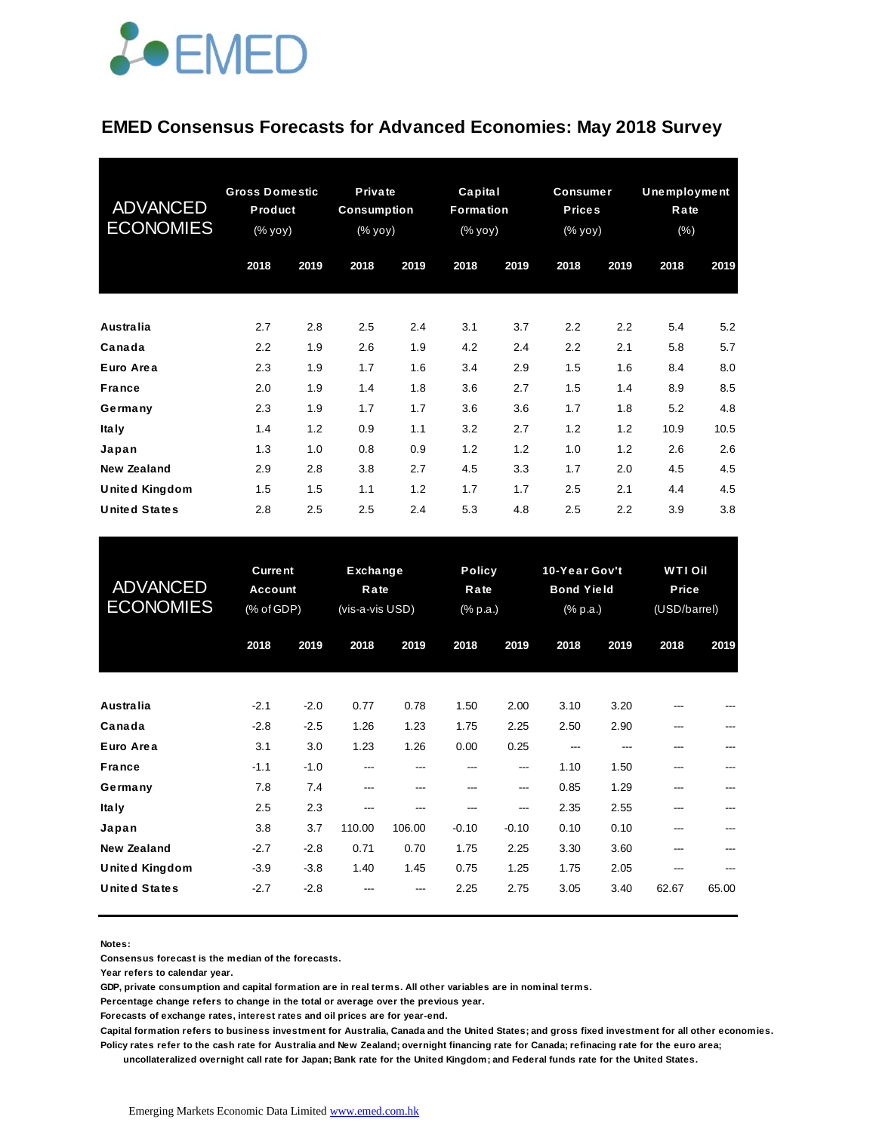

#### **EMED Consensus Forecasts for Advanced Economies: May 2018 Survey**

| <b>ADVANCED</b><br><b>ECONOMIES</b> | <b>Gross Domestic</b><br>Product<br>(% yoy) |      | <b>Private</b><br><b>Consumption</b><br>$(\%$ yoy) |      | Capital<br>Formation<br>(% yoy) |      | <b>Consumer</b><br><b>Prices</b><br>(% yoy) |      | Unemployment<br>Rate<br>$(\% )$ |      |
|-------------------------------------|---------------------------------------------|------|----------------------------------------------------|------|---------------------------------|------|---------------------------------------------|------|---------------------------------|------|
|                                     | 2018                                        | 2019 | 2018                                               | 2019 | 2018                            | 2019 | 2018                                        | 2019 | 2018                            | 2019 |
| <b>Australia</b>                    | 2.7                                         | 2.8  | 2.5                                                | 2.4  | 3.1                             | 3.7  | 2.2                                         | 2.2  | 5.4                             | 5.2  |
| Canada                              | 2.2                                         | 1.9  | 2.6                                                | 1.9  | 4.2                             | 2.4  | 2.2                                         | 2.1  | 5.8                             | 5.7  |
| Euro Area                           | 2.3                                         | 1.9  | 1.7                                                | 1.6  | 3.4                             | 2.9  | 1.5                                         | 1.6  | 8.4                             | 8.0  |
| <b>France</b>                       | 2.0                                         | 1.9  | 1.4                                                | 1.8  | 3.6                             | 2.7  | 1.5                                         | 1.4  | 8.9                             | 8.5  |
| Germany                             | 2.3                                         | 1.9  | 1.7                                                | 1.7  | 3.6                             | 3.6  | 1.7                                         | 1.8  | 5.2                             | 4.8  |
| <b>Italy</b>                        | 1.4                                         | 1.2  | 0.9                                                | 1.1  | 3.2                             | 2.7  | 1.2                                         | 1.2  | 10.9                            | 10.5 |
| Japan                               | 1.3                                         | 1.0  | 0.8                                                | 0.9  | 1.2                             | 1.2  | 1.0                                         | 1.2  | 2.6                             | 2.6  |
| New Zealand                         | 2.9                                         | 2.8  | 3.8                                                | 2.7  | 4.5                             | 3.3  | 1.7                                         | 2.0  | 4.5                             | 4.5  |
| <b>United Kingdom</b>               | 1.5                                         | 1.5  | 1.1                                                | 1.2  | 1.7                             | 1.7  | 2.5                                         | 2.1  | 4.4                             | 4.5  |
| <b>United States</b>                | 2.8                                         | 2.5  | 2.5                                                | 2.4  | 5.3                             | 4.8  | 2.5                                         | 2.2  | 3.9                             | 3.8  |

| <b>United States</b>                          | 2.8                                     | 2.5              | 2.5                                 | 2.4           | 5.3            | 4.8                               | 2.5          | 2.2                                            | 3.9          | 3.8                                     |  |
|-----------------------------------------------|-----------------------------------------|------------------|-------------------------------------|---------------|----------------|-----------------------------------|--------------|------------------------------------------------|--------------|-----------------------------------------|--|
| <b>ADVANCED</b><br><b>ECONOMIES</b>           | <b>Current</b><br>Account<br>(% of GDP) |                  | Exchange<br>Rate<br>(vis-a-vis USD) |               |                | <b>Policy</b><br>Rate<br>(% p.a.) |              | 10-Year Gov't<br><b>Bond Yield</b><br>(% p.a.) |              | <b>WTI Oil</b><br>Price<br>(USD/barrel) |  |
|                                               | 2018                                    | 2019             | 2018                                | 2019          | 2018           | 2019                              | 2018         | 2019                                           | 2018         | 2019                                    |  |
| <b>Australia</b>                              | $-2.1$                                  | $-2.0$           | 0.77                                | 0.78          | 1.50           | 2.00                              | 3.10         | 3.20                                           |              |                                         |  |
| Canada<br>Euro Area                           | $-2.8$<br>3.1                           | $-2.5$<br>3.0    | 1.26<br>1.23                        | 1.23<br>1.26  | 1.75<br>0.00   | 2.25<br>0.25                      | 2.50<br>---  | 2.90<br>---                                    | ---          |                                         |  |
| <b>France</b><br>Germany                      | $-1.1$<br>7.8                           | $-1.0$<br>7.4    | ---<br>---                          | ---<br>---    | ---<br>---     | ---<br>---                        | 1.10<br>0.85 | 1.50<br>1.29                                   | ---<br>---   |                                         |  |
| <b>Italy</b><br>Japan                         | 2.5<br>3.8                              | 2.3<br>3.7       | ---<br>110.00                       | ---<br>106.00 | ---<br>$-0.10$ | ---<br>$-0.10$                    | 2.35<br>0.10 | 2.55<br>0.10                                   |              |                                         |  |
| <b>New Zealand</b>                            | $-2.7$                                  | $-2.8$           | 0.71                                | 0.70          | 1.75           | 2.25                              | 3.30         | 3.60                                           | ---          |                                         |  |
| <b>United Kingdom</b><br><b>United States</b> | $-3.9$<br>$-2.7$                        | $-3.8$<br>$-2.8$ | 1.40                                | 1.45          | 0.75<br>2.25   | 1.25<br>2.75                      | 1.75<br>3.05 | 2.05<br>3.40                                   | ---<br>62.67 | 65.00                                   |  |

**Notes:** 

**Consensus forecast is the median of the forecasts.**

**Year refers to calendar year.**

**GDP, private consumption and capital formation are in real terms. All other variables are in nominal terms.**

**Percentage change refers to change in the total or average over the previous year.**

**Forecasts of exchange rates, interest rates and oil prices are for year-end.**

**Capital formation refers to business investment for Australia, Canada and the United States; and gross fixed investment for all other economies. Policy rates refer to the cash rate for Australia and New Zealand; overnight financing rate for Canada; refinacing rate for the euro area;** 

 **uncollateralized overnight call rate for Japan; Bank rate for the United Kingdom; and Federal funds rate for the United States.**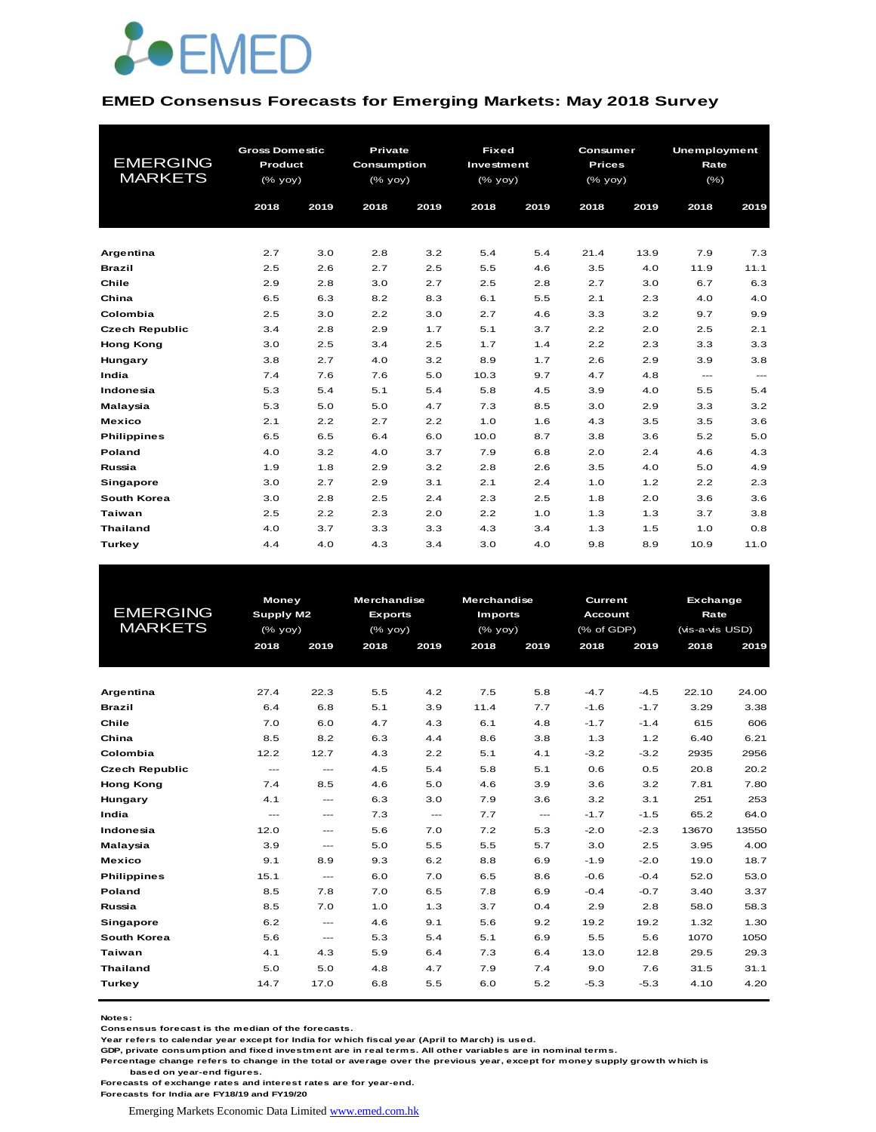

#### **EMED Consensus Forecasts for Emerging Markets: May 2018 Survey**

|                                   | <b>Gross Domestic</b> |      | Private            |      | <b>Fixed</b> |      | Consumer      |      | <b>Unemployment</b> |       |
|-----------------------------------|-----------------------|------|--------------------|------|--------------|------|---------------|------|---------------------|-------|
| <b>EMERGING</b><br><b>MARKETS</b> | Product               |      | <b>Consumption</b> |      | Investment   |      | <b>Prices</b> |      | Rate                |       |
|                                   | (% yoy)               |      | (% yoy)            |      | $(%$ (% yoy) |      | (% yoy)       |      | $(\% )$             |       |
|                                   | 2018                  | 2019 | 2018               | 2019 | 2018         | 2019 | 2018          | 2019 | 2018                | 2019  |
|                                   |                       |      |                    |      |              |      |               |      |                     |       |
| Argentina                         | 2.7                   | 3.0  | 2.8                | 3.2  | 5.4          | 5.4  | 21.4          | 13.9 | 7.9                 | 7.3   |
| <b>Brazil</b>                     | 2.5                   | 2.6  | 2.7                | 2.5  | 5.5          | 4.6  | 3.5           | 4.0  | 11.9                | 11.1  |
| Chile                             | 2.9                   | 2.8  | 3.0                | 2.7  | 2.5          | 2.8  | 2.7           | 3.0  | 6.7                 | 6.3   |
| China                             | 6.5                   | 6.3  | 8.2                | 8.3  | 6.1          | 5.5  | 2.1           | 2.3  | 4.0                 | 4.0   |
| Colombia                          | 2.5                   | 3.0  | 2.2                | 3.0  | 2.7          | 4.6  | 3.3           | 3.2  | 9.7                 | 9.9   |
| <b>Czech Republic</b>             | 3.4                   | 2.8  | 2.9                | 1.7  | 5.1          | 3.7  | 2.2           | 2.0  | 2.5                 | 2.1   |
| <b>Hong Kong</b>                  | 3.0                   | 2.5  | 3.4                | 2.5  | 1.7          | 1.4  | 2.2           | 2.3  | 3.3                 | 3.3   |
| Hungary                           | 3.8                   | 2.7  | 4.0                | 3.2  | 8.9          | 1.7  | 2.6           | 2.9  | 3.9                 | 3.8   |
| India                             | 7.4                   | 7.6  | 7.6                | 5.0  | 10.3         | 9.7  | 4.7           | 4.8  | $\qquad \qquad -$   | $---$ |
| Indonesia                         | 5.3                   | 5.4  | 5.1                | 5.4  | 5.8          | 4.5  | 3.9           | 4.0  | 5.5                 | 5.4   |
| Malaysia                          | 5.3                   | 5.0  | 5.0                | 4.7  | 7.3          | 8.5  | 3.0           | 2.9  | 3.3                 | 3.2   |
| <b>Mexico</b>                     | 2.1                   | 2.2  | 2.7                | 2.2  | 1.0          | 1.6  | 4.3           | 3.5  | 3.5                 | 3.6   |
| <b>Philippines</b>                | 6.5                   | 6.5  | 6.4                | 6.0  | 10.0         | 8.7  | 3.8           | 3.6  | 5.2                 | 5.0   |
| Poland                            | 4.0                   | 3.2  | 4.0                | 3.7  | 7.9          | 6.8  | 2.0           | 2.4  | 4.6                 | 4.3   |
| Russia                            | 1.9                   | 1.8  | 2.9                | 3.2  | 2.8          | 2.6  | 3.5           | 4.0  | 5.0                 | 4.9   |
| <b>Singapore</b>                  | 3.0                   | 2.7  | 2.9                | 3.1  | 2.1          | 2.4  | 1.0           | 1.2  | 2.2                 | 2.3   |
| South Korea                       | 3.0                   | 2.8  | 2.5                | 2.4  | 2.3          | 2.5  | 1.8           | 2.0  | 3.6                 | 3.6   |
| Taiwan                            | 2.5                   | 2.2  | 2.3                | 2.0  | 2.2          | 1.0  | 1.3           | 1.3  | 3.7                 | 3.8   |
| <b>Thailand</b>                   | 4.0                   | 3.7  | 3.3                | 3.3  | 4.3          | 3.4  | 1.3           | 1.5  | 1.0                 | 0.8   |
| Turkey                            | 4.4                   | 4.0  | 4.3                | 3.4  | 3.0          | 4.0  | 9.8           | 8.9  | 10.9                | 11.0  |

|                       | <b>Money</b>  |                                          | <b>Merchandise</b> |          | <b>Merchandise</b> |                        |                | Exchange<br>Current |                 |       |  |
|-----------------------|---------------|------------------------------------------|--------------------|----------|--------------------|------------------------|----------------|---------------------|-----------------|-------|--|
| <b>EMERGING</b>       | Supply M2     |                                          | <b>Exports</b>     |          | <b>Imports</b>     |                        | <b>Account</b> |                     |                 | Rate  |  |
| <b>MARKETS</b>        | (% yoy)       |                                          | $(%$ (% yoy)       |          | $(%$ (% yoy)       |                        | (% of GDP)     |                     | (vis-a-vis USD) |       |  |
|                       | 2018          | 2019                                     | 2018               | 2019     | 2018               | 2019                   | 2018           | 2019                | 2018            | 2019  |  |
|                       |               |                                          |                    |          |                    |                        |                |                     |                 |       |  |
| Argentina             | 27.4          | 22.3                                     | 5.5                | 4.2      | 7.5                | 5.8                    | $-4.7$         | $-4.5$              | 22.10           | 24.00 |  |
|                       |               |                                          |                    |          |                    |                        |                |                     |                 |       |  |
| <b>Brazil</b>         | 6.4           | 6.8                                      | 5.1                | 3.9      | 11.4               | 7.7                    | $-1.6$         | $-1.7$              | 3.29            | 3.38  |  |
| Chile                 | 7.0           | 6.0                                      | 4.7                | 4.3      | 6.1                | 4.8                    | $-1.7$         | $-1.4$              | 615             | 606   |  |
| China                 | 8.5           | 8.2                                      | 6.3                | 4.4      | 8.6                | 3.8                    | 1.3            | 1.2                 | 6.40            | 6.21  |  |
| Colombia              | 12.2          | 12.7                                     | 4.3                | 2.2      | 5.1                | 4.1                    | $-3.2$         | $-3.2$              | 2935            | 2956  |  |
| <b>Czech Republic</b> | $\frac{1}{2}$ | $\frac{1}{2}$                            | 4.5                | 5.4      | 5.8                | 5.1                    | 0.6            | 0.5                 | 20.8            | 20.2  |  |
| <b>Hong Kong</b>      | 7.4           | 8.5                                      | 4.6                | 5.0      | 4.6                | 3.9                    | 3.6            | 3.2                 | 7.81            | 7.80  |  |
| Hungary               | 4.1           | $---$                                    | 6.3                | 3.0      | 7.9                | 3.6                    | 3.2            | 3.1                 | 251             | 253   |  |
| India                 | $\frac{1}{2}$ | $---$                                    | 7.3                | $\cdots$ | 7.7                | $\qquad \qquad \cdots$ | $-1.7$         | $-1.5$              | 65.2            | 64.0  |  |
| Indonesia             | 12.0          | $\hspace{0.05cm} \ldots \hspace{0.05cm}$ | 5.6                | 7.0      | 7.2                | 5.3                    | $-2.0$         | $-2.3$              | 13670           | 13550 |  |
| Malaysia              | 3.9           | $---$                                    | 5.0                | 5.5      | 5.5                | 5.7                    | 3.0            | 2.5                 | 3.95            | 4.00  |  |
| <b>Mexico</b>         | 9.1           | 8.9                                      | 9.3                | 6.2      | 8.8                | 6.9                    | $-1.9$         | $-2.0$              | 19.0            | 18.7  |  |
| <b>Philippines</b>    | 15.1          | $\cdots$                                 | 6.0                | 7.0      | 6.5                | 8.6                    | $-0.6$         | $-0.4$              | 52.0            | 53.0  |  |
| <b>Poland</b>         | 8.5           | 7.8                                      | 7.0                | 6.5      | 7.8                | 6.9                    | $-0.4$         | $-0.7$              | 3.40            | 3.37  |  |
| Russia                | 8.5           | 7.0                                      | 1.0                | 1.3      | 3.7                | 0.4                    | 2.9            | 2.8                 | 58.0            | 58.3  |  |
| <b>Singapore</b>      | 6.2           | $---$                                    | 4.6                | 9.1      | 5.6                | 9.2                    | 19.2           | 19.2                | 1.32            | 1.30  |  |
| South Korea           | 5.6           | $\qquad \qquad -$                        | 5.3                | 5.4      | 5.1                | 6.9                    | 5.5            | 5.6                 | 1070            | 1050  |  |
| Taiwan                | 4.1           | 4.3                                      | 5.9                | 6.4      | 7.3                | 6.4                    | 13.0           | 12.8                | 29.5            | 29.3  |  |
| <b>Thailand</b>       | 5.0           | 5.0                                      | 4.8                | 4.7      | 7.9                | 7.4                    | 9.0            | 7.6                 | 31.5            | 31.1  |  |
| <b>Turkey</b>         | 14.7          | 17.0                                     | 6.8                | 5.5      | 6.0                | 5.2                    | $-5.3$         | $-5.3$              | 4.10            | 4.20  |  |
|                       |               |                                          |                    |          |                    |                        |                |                     |                 |       |  |

**Notes:** 

**Consensus forecast is the median of the forecasts.**

**Year refers to calendar year except for India for which fiscal year (April to March) is used. GDP, private consumption and fixed investment are in real terms. All other variables are in nominal terms.**

**Percentage change refers to change in the total or average over the previous year, except for money supply growth which is based on year-end figures.**

**Forecasts of exchange rates and interest rates are for year-end.**

**Forecasts for India are FY18/19 and FY19/20**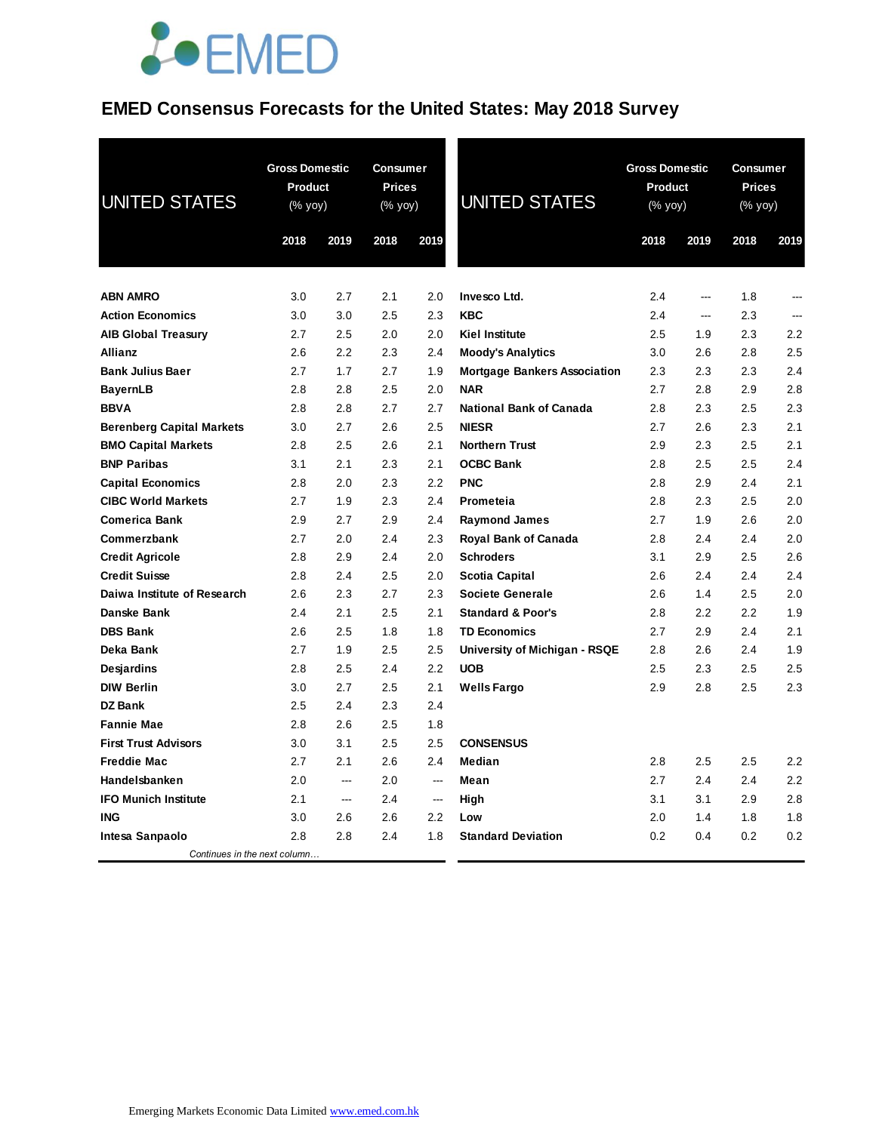# **JOEMED**

## **EMED Consensus Forecasts for the United States: May 2018 Survey**

| <b>UNITED STATES</b>             | <b>Gross Domestic</b><br>Product<br>(% yoy) |      | <b>Consumer</b><br><b>Prices</b><br>(% yoy) |                          | <b>UNITED STATES</b>                | <b>Gross Domestic</b><br>Product<br>$(% \mathsf{Y}^{\prime }\mathsf{Y}^{\prime })$ (% $\mathsf{Y}^{\prime }\mathsf{Y}^{\prime }\mathsf{Y}^{\prime })$ |                          | Consumer<br><b>Prices</b><br>(% yoy) |      |
|----------------------------------|---------------------------------------------|------|---------------------------------------------|--------------------------|-------------------------------------|-------------------------------------------------------------------------------------------------------------------------------------------------------|--------------------------|--------------------------------------|------|
|                                  | 2018                                        | 2019 | 2018                                        | 2019                     |                                     | 2018                                                                                                                                                  | 2019                     | 2018                                 | 2019 |
| <b>ABN AMRO</b>                  | 3.0                                         | 2.7  | 2.1                                         | 2.0                      | Invesco Ltd.                        | 2.4                                                                                                                                                   | $\overline{a}$           | 1.8                                  | ---  |
| <b>Action Economics</b>          | 3.0                                         | 3.0  | 2.5                                         | 2.3                      | <b>KBC</b>                          | 2.4                                                                                                                                                   | $\overline{\phantom{a}}$ | 2.3                                  | ---  |
| <b>AIB Global Treasury</b>       | 2.7                                         | 2.5  | 2.0                                         | 2.0                      | <b>Kiel Institute</b>               | 2.5                                                                                                                                                   | 1.9                      | 2.3                                  | 2.2  |
| <b>Allianz</b>                   | 2.6                                         | 2.2  | 2.3                                         | 2.4                      | <b>Moody's Analytics</b>            | 3.0                                                                                                                                                   | 2.6                      | 2.8                                  | 2.5  |
| <b>Bank Julius Baer</b>          | 2.7                                         | 1.7  | 2.7                                         | 1.9                      | <b>Mortgage Bankers Association</b> | 2.3                                                                                                                                                   | 2.3                      | 2.3                                  | 2.4  |
| <b>BayernLB</b>                  | 2.8                                         | 2.8  | 2.5                                         | 2.0                      | <b>NAR</b>                          | 2.7                                                                                                                                                   | 2.8                      | 2.9                                  | 2.8  |
| <b>BBVA</b>                      | 2.8                                         | 2.8  | 2.7                                         | 2.7                      | <b>National Bank of Canada</b>      | 2.8                                                                                                                                                   | 2.3                      | 2.5                                  | 2.3  |
| <b>Berenberg Capital Markets</b> | 3.0                                         | 2.7  | 2.6                                         | 2.5                      | <b>NIESR</b>                        | 2.7                                                                                                                                                   | 2.6                      | 2.3                                  | 2.1  |
| <b>BMO Capital Markets</b>       | 2.8                                         | 2.5  | 2.6                                         | 2.1                      | <b>Northern Trust</b>               | 2.9                                                                                                                                                   | 2.3                      | 2.5                                  | 2.1  |
| <b>BNP Paribas</b>               | 3.1                                         | 2.1  | 2.3                                         | 2.1                      | <b>OCBC Bank</b>                    | 2.8                                                                                                                                                   | 2.5                      | 2.5                                  | 2.4  |
| <b>Capital Economics</b>         | 2.8                                         | 2.0  | 2.3                                         | 2.2                      | <b>PNC</b>                          | 2.8                                                                                                                                                   | 2.9                      | 2.4                                  | 2.1  |
| <b>CIBC World Markets</b>        | 2.7                                         | 1.9  | 2.3                                         | 2.4                      | Prometeia                           | 2.8                                                                                                                                                   | 2.3                      | 2.5                                  | 2.0  |
| <b>Comerica Bank</b>             | 2.9                                         | 2.7  | 2.9                                         | 2.4                      | <b>Raymond James</b>                | 2.7                                                                                                                                                   | 1.9                      | 2.6                                  | 2.0  |
| Commerzbank                      | 2.7                                         | 2.0  | 2.4                                         | 2.3                      | Royal Bank of Canada                | 2.8                                                                                                                                                   | 2.4                      | 2.4                                  | 2.0  |
| <b>Credit Agricole</b>           | 2.8                                         | 2.9  | 2.4                                         | 2.0                      | Schroders                           | 3.1                                                                                                                                                   | 2.9                      | 2.5                                  | 2.6  |
| <b>Credit Suisse</b>             | 2.8                                         | 2.4  | 2.5                                         | 2.0                      | <b>Scotia Capital</b>               | 2.6                                                                                                                                                   | 2.4                      | 2.4                                  | 2.4  |
| Daiwa Institute of Research      | 2.6                                         | 2.3  | 2.7                                         | 2.3                      | <b>Societe Generale</b>             | 2.6                                                                                                                                                   | 1.4                      | 2.5                                  | 2.0  |
| Danske Bank                      | 2.4                                         | 2.1  | 2.5                                         | 2.1                      | <b>Standard &amp; Poor's</b>        | 2.8                                                                                                                                                   | 2.2                      | 2.2                                  | 1.9  |
| <b>DBS Bank</b>                  | 2.6                                         | 2.5  | 1.8                                         | 1.8                      | <b>TD Economics</b>                 | 2.7                                                                                                                                                   | 2.9                      | 2.4                                  | 2.1  |
| Deka Bank                        | 2.7                                         | 1.9  | 2.5                                         | 2.5                      | University of Michigan - RSQE       | 2.8                                                                                                                                                   | 2.6                      | 2.4                                  | 1.9  |
| <b>Desjardins</b>                | 2.8                                         | 2.5  | 2.4                                         | 2.2                      | <b>UOB</b>                          | 2.5                                                                                                                                                   | 2.3                      | 2.5                                  | 2.5  |
| <b>DIW Berlin</b>                | 3.0                                         | 2.7  | 2.5                                         | 2.1                      | <b>Wells Fargo</b>                  | 2.9                                                                                                                                                   | 2.8                      | 2.5                                  | 2.3  |
| DZ Bank                          | 2.5                                         | 2.4  | 2.3                                         | 2.4                      |                                     |                                                                                                                                                       |                          |                                      |      |
| <b>Fannie Mae</b>                | 2.8                                         | 2.6  | 2.5                                         | 1.8                      |                                     |                                                                                                                                                       |                          |                                      |      |
| <b>First Trust Advisors</b>      | 3.0                                         | 3.1  | 2.5                                         | 2.5                      | <b>CONSENSUS</b>                    |                                                                                                                                                       |                          |                                      |      |
| <b>Freddie Mac</b>               | 2.7                                         | 2.1  | 2.6                                         | 2.4                      | Median                              | 2.8                                                                                                                                                   | 2.5                      | 2.5                                  | 2.2  |
| Handelsbanken                    | 2.0                                         | ---  | 2.0                                         | $\overline{\phantom{a}}$ | Mean                                | 2.7                                                                                                                                                   | 2.4                      | 2.4                                  | 2.2  |
| <b>IFO Munich Institute</b>      | 2.1                                         | ---  | 2.4                                         | $\overline{\phantom{a}}$ | High                                | 3.1                                                                                                                                                   | 3.1                      | 2.9                                  | 2.8  |
| <b>ING</b>                       | 3.0                                         | 2.6  | 2.6                                         | 2.2                      | Low                                 | 2.0                                                                                                                                                   | 1.4                      | 1.8                                  | 1.8  |
| Intesa Sanpaolo                  | 2.8                                         | 2.8  | 2.4                                         | 1.8                      | <b>Standard Deviation</b>           | 0.2                                                                                                                                                   | 0.4                      | 0.2                                  | 0.2  |
| Continues in the next column     |                                             |      |                                             |                          |                                     |                                                                                                                                                       |                          |                                      |      |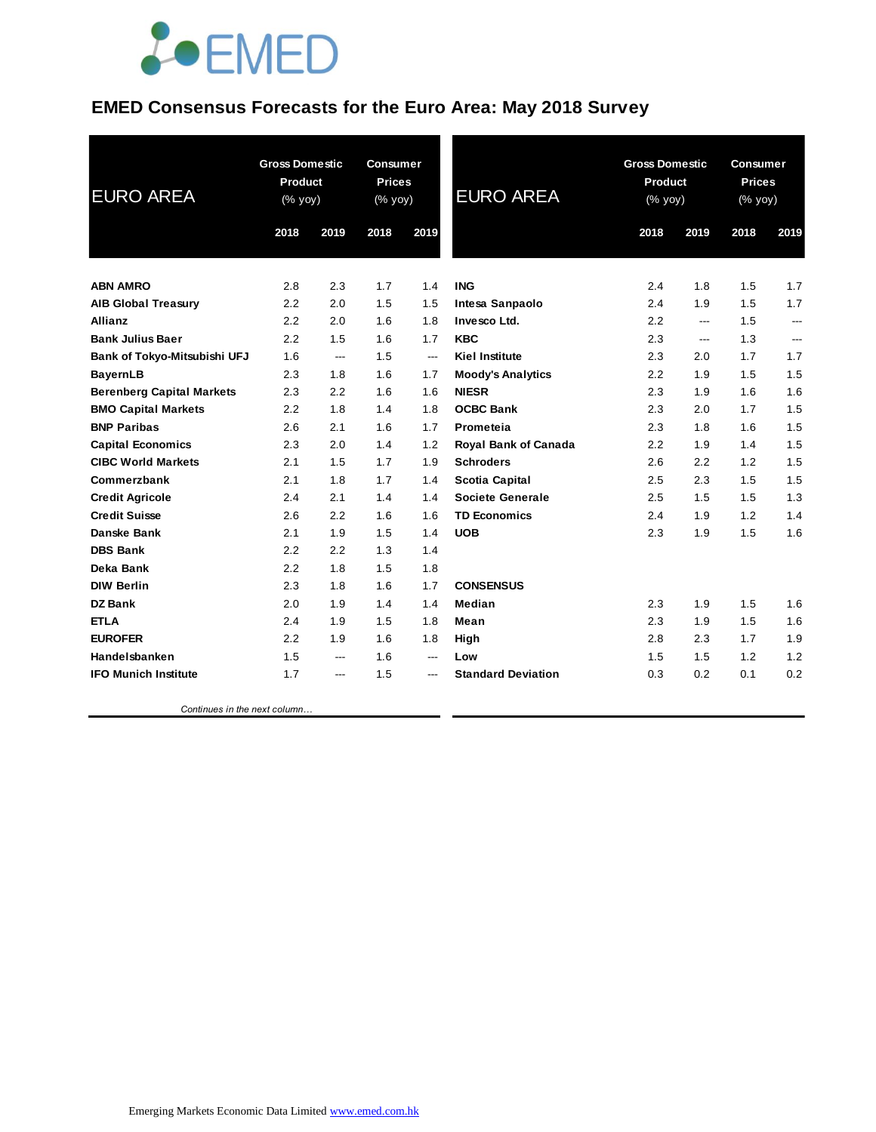

### **EMED Consensus Forecasts for the Euro Area: May 2018 Survey**

| <b>EURO AREA</b>                 | <b>Gross Domestic</b><br><b>Product</b><br>(% yoy) |      | <b>Consumer</b><br><b>Prices</b><br>(% yoy) |       | <b>EURO AREA</b>            | <b>Gross Domestic</b><br>Product<br>(% yoy) |                          | <b>Consumer</b><br><b>Prices</b><br>(% yoy) |      |
|----------------------------------|----------------------------------------------------|------|---------------------------------------------|-------|-----------------------------|---------------------------------------------|--------------------------|---------------------------------------------|------|
|                                  | 2018                                               | 2019 | 2018                                        | 2019  |                             | 2018                                        | 2019                     | 2018                                        | 2019 |
| <b>ABN AMRO</b>                  | 2.8                                                | 2.3  | 1.7                                         | 1.4   | <b>ING</b>                  | 2.4                                         | 1.8                      | 1.5                                         | 1.7  |
| <b>AIB Global Treasury</b>       | 2.2                                                | 2.0  | 1.5                                         | 1.5   | Intesa Sanpaolo             | 2.4                                         | 1.9                      | 1.5                                         | 1.7  |
| <b>Allianz</b>                   | 2.2                                                | 2.0  | 1.6                                         | 1.8   | Invesco Ltd.                | 2.2                                         | ---                      | 1.5                                         | ---  |
| <b>Bank Julius Baer</b>          | 2.2                                                | 1.5  | 1.6                                         | 1.7   | <b>KBC</b>                  | 2.3                                         | $\overline{\phantom{a}}$ | 1.3                                         | ---  |
| Bank of Tokyo-Mitsubishi UFJ     | 1.6                                                | ---  | 1.5                                         | ---   | <b>Kiel Institute</b>       | 2.3                                         | 2.0                      | 1.7                                         | 1.7  |
| <b>BayernLB</b>                  | 2.3                                                | 1.8  | 1.6                                         | 1.7   | <b>Moody's Analytics</b>    | 2.2                                         | 1.9                      | 1.5                                         | 1.5  |
| <b>Berenberg Capital Markets</b> | 2.3                                                | 2.2  | 1.6                                         | 1.6   | <b>NIESR</b>                | 2.3                                         | 1.9                      | 1.6                                         | 1.6  |
| <b>BMO Capital Markets</b>       | 2.2                                                | 1.8  | 1.4                                         | 1.8   | <b>OCBC Bank</b>            | 2.3                                         | 2.0                      | 1.7                                         | 1.5  |
| <b>BNP Paribas</b>               | 2.6                                                | 2.1  | 1.6                                         | 1.7   | Prometeia                   | 2.3                                         | 1.8                      | 1.6                                         | 1.5  |
| <b>Capital Economics</b>         | 2.3                                                | 2.0  | 1.4                                         | 1.2   | <b>Royal Bank of Canada</b> | 2.2                                         | 1.9                      | 1.4                                         | 1.5  |
| <b>CIBC World Markets</b>        | 2.1                                                | 1.5  | 1.7                                         | 1.9   | <b>Schroders</b>            | 2.6                                         | 2.2                      | 1.2                                         | 1.5  |
| Commerzbank                      | 2.1                                                | 1.8  | 1.7                                         | 1.4   | <b>Scotia Capital</b>       | 2.5                                         | 2.3                      | 1.5                                         | 1.5  |
| <b>Credit Agricole</b>           | 2.4                                                | 2.1  | 1.4                                         | 1.4   | <b>Societe Generale</b>     | 2.5                                         | 1.5                      | 1.5                                         | 1.3  |
| <b>Credit Suisse</b>             | 2.6                                                | 2.2  | 1.6                                         | 1.6   | <b>TD Economics</b>         | 2.4                                         | 1.9                      | 1.2 <sub>2</sub>                            | 1.4  |
| <b>Danske Bank</b>               | 2.1                                                | 1.9  | 1.5                                         | 1.4   | <b>UOB</b>                  | 2.3                                         | 1.9                      | 1.5                                         | 1.6  |
| <b>DBS Bank</b>                  | 2.2                                                | 2.2  | 1.3                                         | 1.4   |                             |                                             |                          |                                             |      |
| Deka Bank                        | 2.2                                                | 1.8  | 1.5                                         | 1.8   |                             |                                             |                          |                                             |      |
| <b>DIW Berlin</b>                | 2.3                                                | 1.8  | 1.6                                         | 1.7   | <b>CONSENSUS</b>            |                                             |                          |                                             |      |
| DZ Bank                          | 2.0                                                | 1.9  | 1.4                                         | 1.4   | Median                      | 2.3                                         | 1.9                      | 1.5                                         | 1.6  |
| <b>ETLA</b>                      | 2.4                                                | 1.9  | 1.5                                         | 1.8   | Mean                        | 2.3                                         | 1.9                      | 1.5                                         | 1.6  |
| <b>EUROFER</b>                   | 2.2                                                | 1.9  | 1.6                                         | 1.8   | High                        | 2.8                                         | 2.3                      | 1.7                                         | 1.9  |
| Handelsbanken                    | 1.5                                                | ---  | 1.6                                         | $---$ | Low                         | 1.5                                         | 1.5                      | 1.2                                         | 1.2  |
| <b>IFO Munich Institute</b>      | 1.7                                                | ---  | 1.5                                         | ---   | <b>Standard Deviation</b>   | 0.3                                         | 0.2                      | 0.1                                         | 0.2  |
|                                  |                                                    |      |                                             |       |                             |                                             |                          |                                             |      |

 *Continues in the next column…*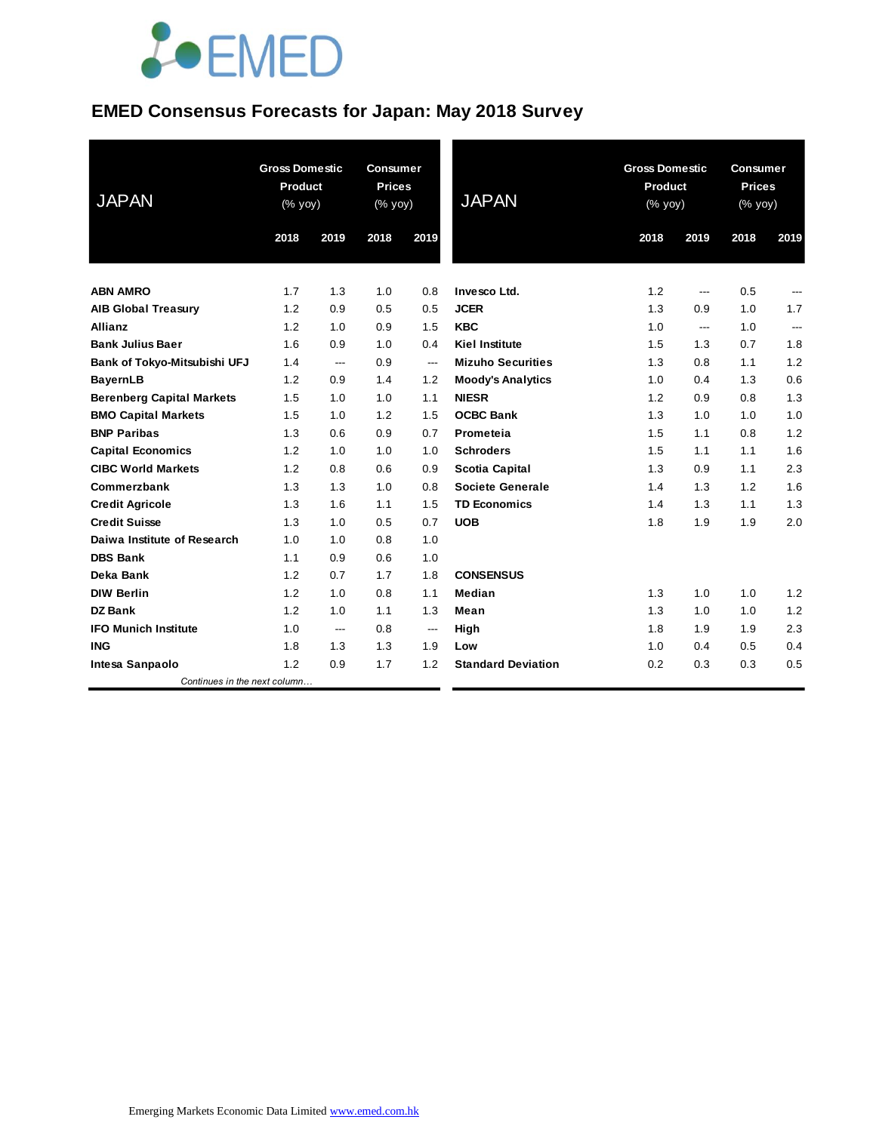# **JOEMED**

### **EMED Consensus Forecasts for Japan: May 2018 Survey**

| <b>JAPAN</b>                     | <b>Gross Domestic</b><br><b>Product</b><br>(% yoy) |      | <b>Consumer</b><br><b>Prices</b><br>(% yoy) |                | <b>JAPAN</b>              | <b>Gross Domestic</b><br>Product<br>(% yoy) |      | <b>Consumer</b><br><b>Prices</b><br>(% yoy) |      |
|----------------------------------|----------------------------------------------------|------|---------------------------------------------|----------------|---------------------------|---------------------------------------------|------|---------------------------------------------|------|
|                                  | 2018                                               | 2019 | 2018                                        | 2019           |                           | 2018                                        | 2019 | 2018                                        | 2019 |
| <b>ABN AMRO</b>                  | 1.7                                                | 1.3  | 1.0                                         | 0.8            | Invesco Ltd.              | 1.2                                         | ---  | 0.5                                         | ---  |
| <b>AIB Global Treasury</b>       | 1.2                                                | 0.9  | 0.5                                         | 0.5            | <b>JCER</b>               | 1.3                                         | 0.9  | 1.0                                         | 1.7  |
| <b>Allianz</b>                   | 1.2                                                | 1.0  | 0.9                                         | 1.5            | <b>KBC</b>                | 1.0                                         | ---  | 1.0                                         | ---  |
| <b>Bank Julius Baer</b>          | 1.6                                                | 0.9  | 1.0                                         | 0.4            | <b>Kiel Institute</b>     | 1.5                                         | 1.3  | 0.7                                         | 1.8  |
| Bank of Tokyo-Mitsubishi UFJ     | 1.4                                                | ---  | 0.9                                         | $\overline{a}$ | <b>Mizuho Securities</b>  | 1.3                                         | 0.8  | 1.1                                         | 1.2  |
| <b>BayernLB</b>                  | 1.2                                                | 0.9  | 1.4                                         | 1.2            | <b>Moody's Analytics</b>  | 1.0                                         | 0.4  | 1.3                                         | 0.6  |
| <b>Berenberg Capital Markets</b> | 1.5                                                | 1.0  | 1.0                                         | 1.1            | <b>NIESR</b>              | 1.2                                         | 0.9  | 0.8                                         | 1.3  |
| <b>BMO Capital Markets</b>       | 1.5                                                | 1.0  | 1.2                                         | 1.5            | <b>OCBC Bank</b>          | 1.3                                         | 1.0  | 1.0                                         | 1.0  |
| <b>BNP Paribas</b>               | 1.3                                                | 0.6  | 0.9                                         | 0.7            | Prometeia                 | 1.5                                         | 1.1  | 0.8                                         | 1.2  |
| <b>Capital Economics</b>         | 1.2                                                | 1.0  | 1.0                                         | 1.0            | <b>Schroders</b>          | 1.5                                         | 1.1  | 1.1                                         | 1.6  |
| <b>CIBC World Markets</b>        | 1.2                                                | 0.8  | 0.6                                         | 0.9            | <b>Scotia Capital</b>     | 1.3                                         | 0.9  | 1.1                                         | 2.3  |
| Commerzbank                      | 1.3                                                | 1.3  | 1.0                                         | 0.8            | <b>Societe Generale</b>   | 1.4                                         | 1.3  | 1.2                                         | 1.6  |
| <b>Credit Agricole</b>           | 1.3                                                | 1.6  | 1.1                                         | 1.5            | <b>TD Economics</b>       | 1.4                                         | 1.3  | 1.1                                         | 1.3  |
| <b>Credit Suisse</b>             | 1.3                                                | 1.0  | 0.5                                         | 0.7            | <b>UOB</b>                | 1.8                                         | 1.9  | 1.9                                         | 2.0  |
| Daiwa Institute of Research      | 1.0                                                | 1.0  | 0.8                                         | 1.0            |                           |                                             |      |                                             |      |
| <b>DBS Bank</b>                  | 1.1                                                | 0.9  | 0.6                                         | 1.0            |                           |                                             |      |                                             |      |
| Deka Bank                        | 1.2                                                | 0.7  | 1.7                                         | 1.8            | <b>CONSENSUS</b>          |                                             |      |                                             |      |
| <b>DIW Berlin</b>                | 1.2                                                | 1.0  | 0.8                                         | 1.1            | Median                    | 1.3                                         | 1.0  | 1.0                                         | 1.2  |
| <b>DZ Bank</b>                   | 1.2                                                | 1.0  | 1.1                                         | 1.3            | Mean                      | 1.3                                         | 1.0  | 1.0                                         | 1.2  |
| <b>IFO Munich Institute</b>      | 1.0                                                | ---  | 0.8                                         | ---            | High                      | 1.8                                         | 1.9  | 1.9                                         | 2.3  |
| <b>ING</b>                       | 1.8                                                | 1.3  | 1.3                                         | 1.9            | Low                       | 1.0                                         | 0.4  | 0.5                                         | 0.4  |
| Intesa Sanpaolo                  | 1.2                                                | 0.9  | 1.7                                         | 1.2            | <b>Standard Deviation</b> | 0.2                                         | 0.3  | 0.3                                         | 0.5  |
| Continues in the next column     |                                                    |      |                                             |                |                           |                                             |      |                                             |      |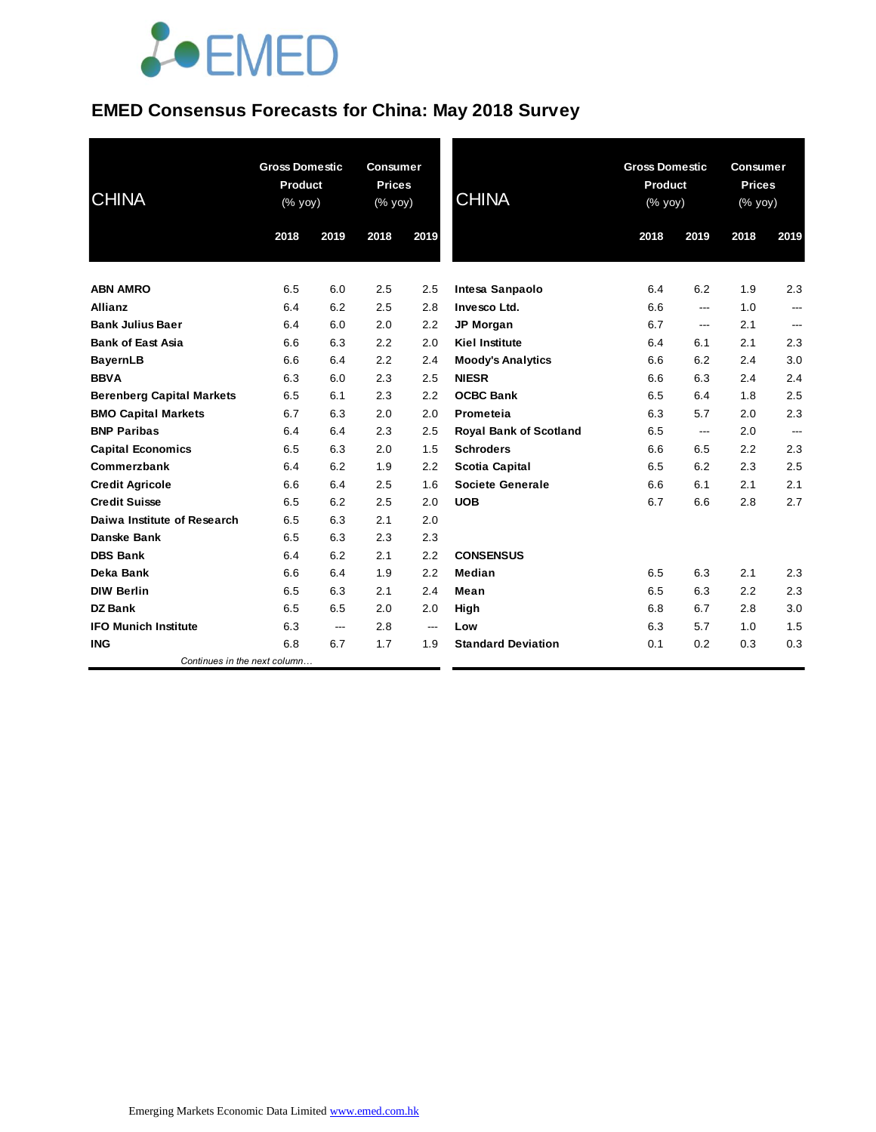# **JOEMED**

### **EMED Consensus Forecasts for China: May 2018 Survey**

| <b>CHINA</b>                     | <b>Gross Domestic</b><br><b>Product</b><br>(% yoy) |      | <b>Consumer</b><br><b>Prices</b><br>$(% \mathsf{Y}^{\prime }\mathsf{Y}^{\prime })$ (% $\mathsf{Y}^{\prime }\mathsf{Y}^{\prime }\mathsf{Y}^{\prime })$ |      | <b>CHINA</b>                  | <b>Gross Domestic</b><br>Product<br>(% yoy) |                | <b>Consumer</b><br><b>Prices</b><br>$(% \mathsf{Y}\rightarrow \mathsf{Y})$ (% yoy) |                |
|----------------------------------|----------------------------------------------------|------|-------------------------------------------------------------------------------------------------------------------------------------------------------|------|-------------------------------|---------------------------------------------|----------------|------------------------------------------------------------------------------------|----------------|
|                                  | 2018                                               | 2019 | 2018                                                                                                                                                  | 2019 |                               | 2018                                        | 2019           | 2018                                                                               | 2019           |
| <b>ABN AMRO</b>                  | 6.5                                                | 6.0  | 2.5                                                                                                                                                   | 2.5  | Intesa Sanpaolo               | 6.4                                         | 6.2            | 1.9                                                                                | 2.3            |
| <b>Allianz</b>                   | 6.4                                                | 6.2  | 2.5                                                                                                                                                   | 2.8  | Invesco Ltd.                  | 6.6                                         | ---            | 1.0                                                                                | ---            |
| <b>Bank Julius Baer</b>          | 6.4                                                | 6.0  | 2.0                                                                                                                                                   | 2.2  | <b>JP Morgan</b>              | 6.7                                         | $\overline{a}$ | 2.1                                                                                | ---            |
| <b>Bank of East Asia</b>         | 6.6                                                | 6.3  | 2.2                                                                                                                                                   | 2.0  | <b>Kiel Institute</b>         | 6.4                                         | 6.1            | 2.1                                                                                | 2.3            |
| <b>BayernLB</b>                  | 6.6                                                | 6.4  | 2.2                                                                                                                                                   | 2.4  | <b>Moody's Analytics</b>      | 6.6                                         | 6.2            | 2.4                                                                                | 3.0            |
| <b>BBVA</b>                      | 6.3                                                | 6.0  | 2.3                                                                                                                                                   | 2.5  | <b>NIESR</b>                  | 6.6                                         | 6.3            | 2.4                                                                                | 2.4            |
| <b>Berenberg Capital Markets</b> | 6.5                                                | 6.1  | 2.3                                                                                                                                                   | 2.2  | <b>OCBC Bank</b>              | 6.5                                         | 6.4            | 1.8                                                                                | 2.5            |
| <b>BMO Capital Markets</b>       | 6.7                                                | 6.3  | 2.0                                                                                                                                                   | 2.0  | Prometeia                     | 6.3                                         | 5.7            | 2.0                                                                                | 2.3            |
| <b>BNP Paribas</b>               | 6.4                                                | 6.4  | 2.3                                                                                                                                                   | 2.5  | <b>Royal Bank of Scotland</b> | 6.5                                         | ---            | 2.0                                                                                | $\overline{a}$ |
| <b>Capital Economics</b>         | 6.5                                                | 6.3  | 2.0                                                                                                                                                   | 1.5  | <b>Schroders</b>              | 6.6                                         | 6.5            | 2.2                                                                                | 2.3            |
| Commerzbank                      | 6.4                                                | 6.2  | 1.9                                                                                                                                                   | 2.2  | <b>Scotia Capital</b>         | 6.5                                         | 6.2            | 2.3                                                                                | 2.5            |
| <b>Credit Agricole</b>           | 6.6                                                | 6.4  | 2.5                                                                                                                                                   | 1.6  | Societe Generale              | 6.6                                         | 6.1            | 2.1                                                                                | 2.1            |
| <b>Credit Suisse</b>             | 6.5                                                | 6.2  | 2.5                                                                                                                                                   | 2.0  | <b>UOB</b>                    | 6.7                                         | 6.6            | 2.8                                                                                | 2.7            |
| Daiwa Institute of Research      | 6.5                                                | 6.3  | 2.1                                                                                                                                                   | 2.0  |                               |                                             |                |                                                                                    |                |
| <b>Danske Bank</b>               | 6.5                                                | 6.3  | 2.3                                                                                                                                                   | 2.3  |                               |                                             |                |                                                                                    |                |
| <b>DBS Bank</b>                  | 6.4                                                | 6.2  | 2.1                                                                                                                                                   | 2.2  | <b>CONSENSUS</b>              |                                             |                |                                                                                    |                |
| Deka Bank                        | 6.6                                                | 6.4  | 1.9                                                                                                                                                   | 2.2  | Median                        | 6.5                                         | 6.3            | 2.1                                                                                | 2.3            |
| <b>DIW Berlin</b>                | 6.5                                                | 6.3  | 2.1                                                                                                                                                   | 2.4  | Mean                          | 6.5                                         | 6.3            | 2.2                                                                                | 2.3            |
| <b>DZ Bank</b>                   | 6.5                                                | 6.5  | 2.0                                                                                                                                                   | 2.0  | High                          | 6.8                                         | 6.7            | 2.8                                                                                | 3.0            |
| <b>IFO Munich Institute</b>      | 6.3                                                | ---  | 2.8                                                                                                                                                   | ---  | Low                           | 6.3                                         | 5.7            | 1.0                                                                                | 1.5            |
| <b>ING</b>                       | 6.8                                                | 6.7  | 1.7                                                                                                                                                   | 1.9  | <b>Standard Deviation</b>     | 0.1                                         | 0.2            | 0.3                                                                                | 0.3            |
| Continues in the next column     |                                                    |      |                                                                                                                                                       |      |                               |                                             |                |                                                                                    |                |